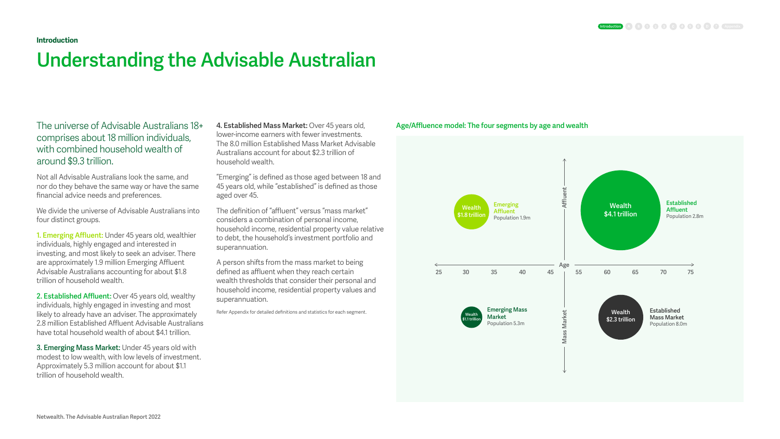The universe of Advisable Australians 18+ comprises about 18 million individuals, with combined household wealth of around \$9.3 trillion.

Not all Advisable Australians look the same, and nor do they behave the same way or have the same financial advice needs and preferences.

We divide the universe of Advisable Australians into four distinct groups.

**1. Emerging Affluent:** Under 45 years old, wealthier individuals, highly engaged and interested in investing, and most likely to seek an adviser. There are approximately 1.9 million Emerging Affluent Advisable Australians accounting for about \$1.8 trillion of household wealth.

**2. Established Affluent:** Over 45 years old, wealthy individuals, highly engaged in investing and most likely to already have an adviser. The approximately 2.8 million Established Affluent Advisable Australians have total household wealth of about \$4.1 trillion.

**3. Emerging Mass Market:** Under 45 years old with modest to low wealth, with low levels of investment. Approximately 5.3 million account for about \$1.1 trillion of household wealth.

**4. Established Mass Market:** Over 45 years old, lower-income earners with fewer investments. The 8.0 million Established Mass Market Advisable Australians account for about \$2.3 trillion of household wealth.

"Emerging" is defined as those aged between 18 and 45 years old, while "established" is defined as those aged over 45.

The definition of "affluent" versus "mass market" considers a combination of personal income, household income, residential property value relative to debt, the household's investment portfolio and superannuation.

A person shifts from the mass market to being defined as affluent when they reach certain wealth thresholds that consider their personal and household income, residential property values and superannuation.

Refer Appendix for detailed definitions and statistics for each segment.

### **Introduction**

# **Understanding the Advisable Australian**

## **Age/Affluence model: The four segments by age and wealth**

### **Introduction 4 5 6 7 Appendix**

# **25 26 26 PHONE CONSERVER EXAMPLE CONSERVERENCE CONSERVER EXAMPLE CONSERVERENCE CONSERVERENCE CONSERVERENCE CONSERVERENCE CONSERVERENCE CONSERVERENCE CONSERVERENCE CONSERVERENCE CONSERVERENCE CONSERVERENCE CONSERVERE Established Emerging Wealth Wealth Affluent Affluent \$4.1 trillion \$1.8 trillion** Population 2.8m Population 1.9m **Age Emerging Mass Established Wealth** Market **Mass Market Wealth Market Mass Market \$2.3 trillion \$1.1 trillion** Population 5.3m Population 8.0m **Mass**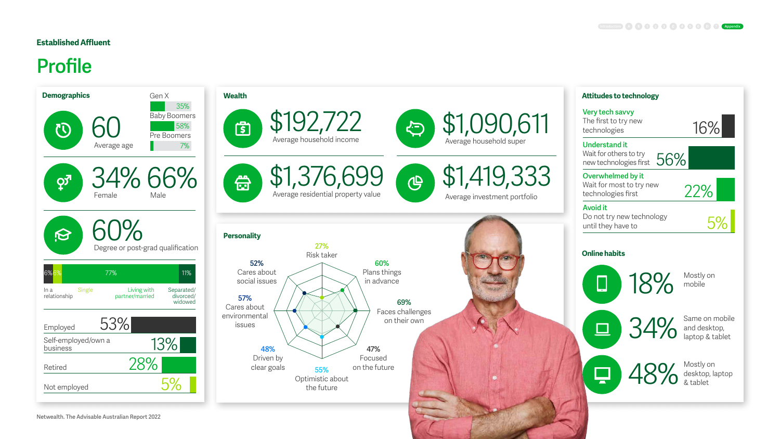# **Established Affluent**

# **Profile**





 $\bigoplus$ 

\$1,419,333 Average investment portfolio

**Online habits**

 $\overline{\phantom{a}}$ 

**Understand it**  Wait for others to try walt for others to try<br>new technologies first 56%



18% Mostly on mobile

Plans things in advance

> 48% Mostly on<br>
> & tablet desktop, laptop & tablet

**69%**  Faces challenges on their own



**Very tech savvy**  The first to try new technologies



**Overwhelmed by it** Wait for most to try new technologies first

# **Avoid it**

Do not try new technology until they have to

22%

34%

Same on mobile and desktop, laptop & tablet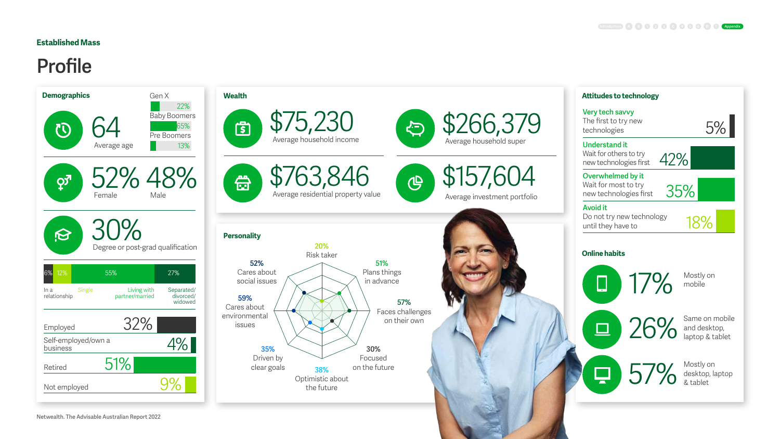# **Established Mass**

# **Profile**





 $\bigoplus$ 

\$157,604 Average investment portfolio

## **Online habits**

 $\Box$ 

17% Mostly on



**51%**  Plans things in advance

> 57% Mostly on<br>& tablet desktop, laptop & tablet

**30%** 



**57%**  Faces challenges on their own



**Very tech savvy**  The first to try new technologies

**Understand it**  Wait for others to try new technologies first

**Overwhelmed by it** Wait for most to try new technologies first

### **Avoid it**

Do not try new technology until they have to

42%

35%

18%

mobile

26%

Same on mobile and desktop, laptop & tablet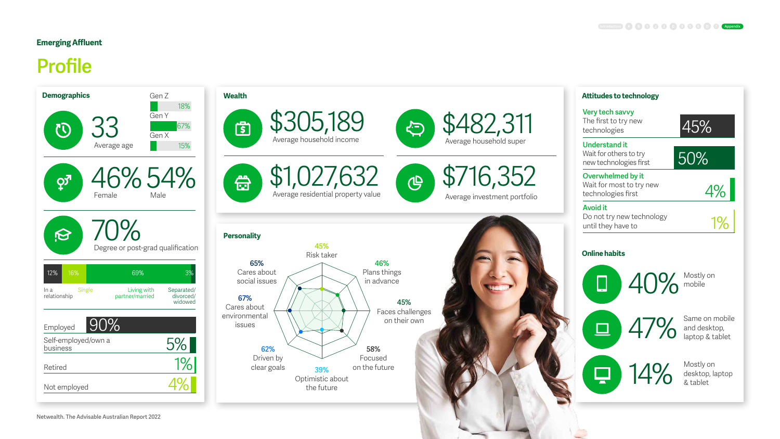# **Emerging Affluent**

# **Profile**







\$716,352 Average investment portfolio

**Online habits**



무



**46%**  Plans things in advance

 $40\%$  Mostly on mobile

14% Mostly on<br>
& tablet desktop, laptop & tablet

**45%**  Faces challenges on their own

Wait for others to try new technologies first

**Overwhelmed by it** Wait for most to try new technologies first

## **Avoid it**

Do not try new technology until they have to

4%



| <b>Very tech savvy</b><br>The first to try new<br>technologies | 45% |
|----------------------------------------------------------------|-----|
| Understand it                                                  |     |
| Wait for others to try                                         |     |
| new technologies first                                         | 50% |

47%

Same on mobile and desktop, laptop & tablet